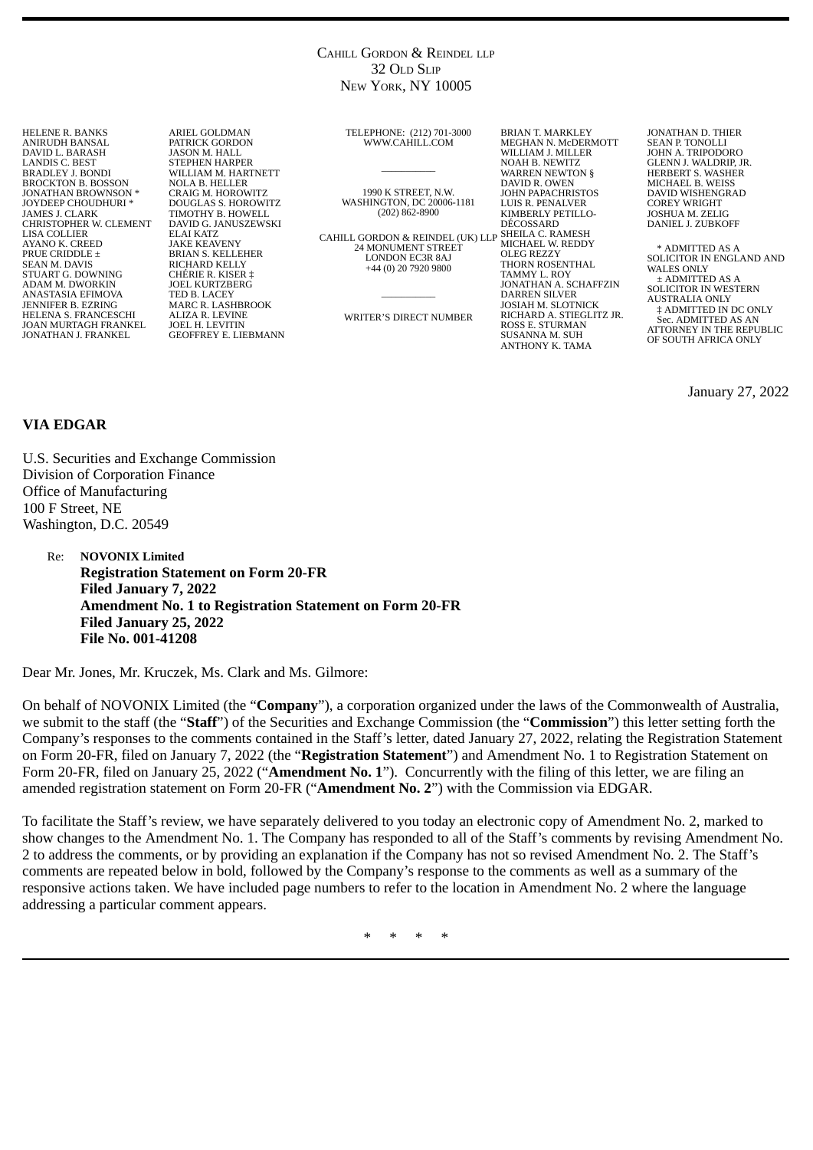### CAHILL GORDON & REINDEL LLP 32 OLD SLIP NEW YORK, NY 10005

HELENE R. BANKS ANIRUDH BANSAL DAVID L. BARASH LANDIS C. BEST BRADLEY J. BONDI BROCKTON B. BOSSON JONATHAN BROWNSON \* JOYDEEP CHOUDHURI \* JAMES J. CLARK CHRISTOPHER W. CLEMENT LISA COLLIER AYANO K. CREED PRUE CRIDDLE ± SEAN M. DAVIS STUART G. DOWNING ADAM M. DWORKIN ANASTASIA EFIMOVA JENNIFER B. EZRING HELENA S. FRANCESCHI JOAN MURTAGH FRANKEL JONATHAN J. FRANKEL

ARIEL GOLDMAN PATRICK GORDON JASON M. HALL STEPHEN HARPER WILLIAM M. HARTNETT NOLA B. HELLER CRAIG M. HOROWITZ DOUGLAS S. HOROWITZ TIMOTHY B. HOWELL DAVID G. JANUSZEWSKI ELAI KATZ JAKE KEAVENY BRIAN S. KELLEHER RICHARD KELLY CHÉRIE R. KISER ‡ JOEL KURTZBERG TED B. LACEY MARC R. LASHBROOK ALIZA R. LEVINE JOEL H. LEVITIN GEOFFREY E. LIEBMANN TELEPHONE: (212) 701-3000 WWW.CAHILL.COM

 $\overline{\phantom{a}}$ 

1990 K STREET, N.W. WASHINGTON, DC 20006-1181 (202) 862-8900

CAHILL GORDON & REINDEL (UK) LLP SHEILA C. RAMESH 24 MONUMENT STREET LONDON EC3R 8AJ +44 (0) 20 7920 9800

 $\overline{\phantom{a}}$ WRITER'S DIRECT NUMBER

MEGHAN N. McDERMOTT WILLIAM J. MILLER NOAH B. NEWITZ WARREN NEWTON § DAVID R. OWEN JOHN PAPACHRISTOS LUIS R. PENALVER KIMBERLY PETILLO-DÉCOSSARD MICHAEL W. REDDY OLEG REZZY THORN ROSENTHAL TAMMY L. ROY JONATHAN A. SCHAFFZIN DARREN SILVER JOSIAH M. SLOTNICK RICHARD A. STIEGLITZ JR. ROSS E. STURMAN SUSANNA M. SUH ANTHONY K. TAMA

BRIAN T. MARKLEY

JONATHAN D. THIER SEAN P. TONOLLI JOHN A. TRIPODORO GLENN J. WALDRIP, JR. HERBERT S. WASHER MICHAEL B. WEISS DAVID WISHENGRAD COREY WRIGHT JOSHUA M. ZELIG DANIEL J. ZUBKOFF

\* ADMITTED AS A SOLICITOR IN ENGLAND AND WALES ONLY ± ADMITTED AS A SOLICITOR IN WESTERN AUSTRALIA ONLY ‡ ADMITTED IN DC ONLY Sec. ADMITTED AS AN ATTORNEY IN THE REPUBLIC OF SOUTH AFRICA ONLY

January 27, 2022

# **VIA EDGAR**

U.S. Securities and Exchange Commission Division of Corporation Finance Office of Manufacturing 100 F Street, NE Washington, D.C. 20549

Re: **NOVONIX Limited Registration Statement on Form 20-FR Filed January 7, 2022 Amendment No. 1 to Registration Statement on Form 20-FR Filed January 25, 2022 File No. 001-41208**

Dear Mr. Jones, Mr. Kruczek, Ms. Clark and Ms. Gilmore:

On behalf of NOVONIX Limited (the "**Company**"), a corporation organized under the laws of the Commonwealth of Australia, we submit to the staff (the "**Staff**") of the Securities and Exchange Commission (the "**Commission**") this letter setting forth the Company's responses to the comments contained in the Staff's letter, dated January 27, 2022, relating the Registration Statement on Form 20-FR, filed on January 7, 2022 (the "**Registration Statement**") and Amendment No. 1 to Registration Statement on Form 20-FR, filed on January 25, 2022 ("**Amendment No. 1**"). Concurrently with the filing of this letter, we are filing an amended registration statement on Form 20-FR ("**Amendment No. 2**") with the Commission via EDGAR.

To facilitate the Staff's review, we have separately delivered to you today an electronic copy of Amendment No. 2, marked to show changes to the Amendment No. 1. The Company has responded to all of the Staff's comments by revising Amendment No. 2 to address the comments, or by providing an explanation if the Company has not so revised Amendment No. 2. The Staff's comments are repeated below in bold, followed by the Company's response to the comments as well as a summary of the responsive actions taken. We have included page numbers to refer to the location in Amendment No. 2 where the language addressing a particular comment appears.

\* \* \* \*